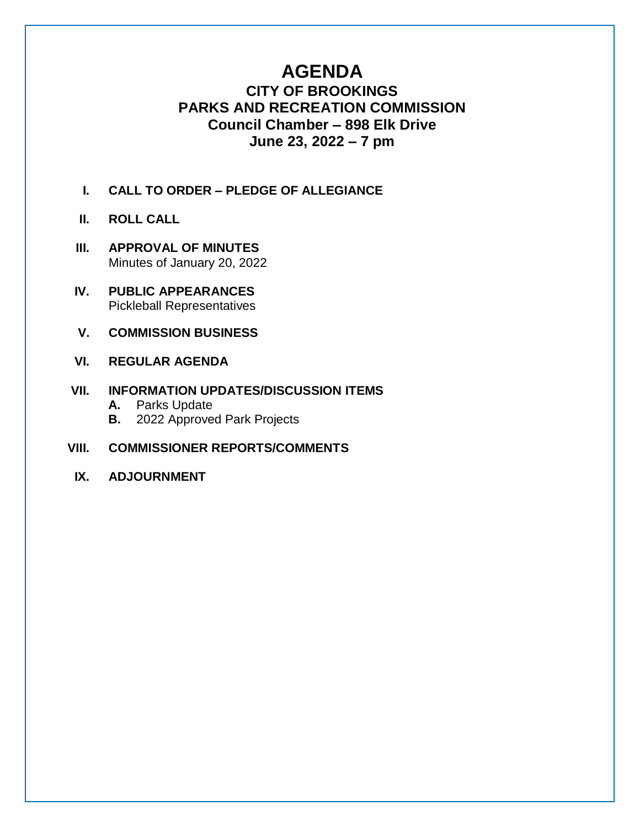# **AGENDA**

## **CITY OF BROOKINGS PARKS AND RECREATION COMMISSION Council Chamber – 898 Elk Drive June 23, 2022 – 7 pm**

- **I. CALL TO ORDER – PLEDGE OF ALLEGIANCE**
- **II. ROLL CALL**
- **III. APPROVAL OF MINUTES** Minutes of January 20, 2022
- **IV. PUBLIC APPEARANCES** Pickleball Representatives
- **V. COMMISSION BUSINESS**
- **VI. REGULAR AGENDA**

### **VII. INFORMATION UPDATES/DISCUSSION ITEMS**

- **A.** Parks Update
- **B.** 2022 Approved Park Projects
- **VIII. COMMISSIONER REPORTS/COMMENTS**
- **IX. ADJOURNMENT**